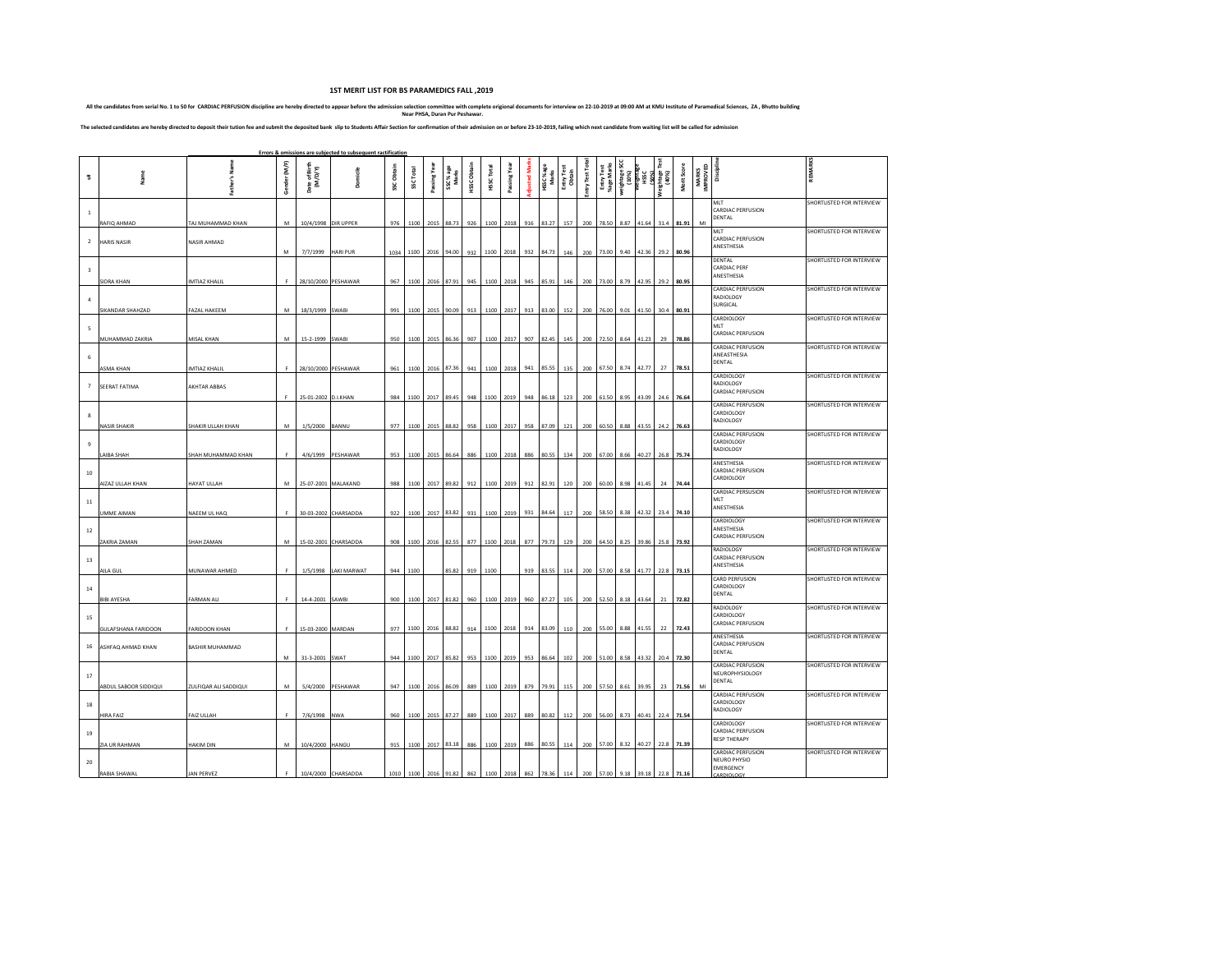## **1ST MERIT LIST FOR BS PARAMEDICS FALL ,2019**

All the candidates from serial No. 1 to 50 for CARDIAC PERFUSION discipline are hereby directed to appear before the admission selection committee with complete origional documents for interview on 22-10-2019 at 09:00 AM a

The selected candidates are hereby directed to deposit their tution fee and submit the deposited bank slip to Students Affair Section for confirmation of their admission on or before 23-10-2019, failing which next candidat

|                |                            |                       |              |                              | Errors & omissions are subjected to subsequent ractification |                   |           |             |                                   |             |            |               |                    |                     |                      |                |                                     |                     |                                               |                  |             |                                |                                                                            |                           |
|----------------|----------------------------|-----------------------|--------------|------------------------------|--------------------------------------------------------------|-------------------|-----------|-------------|-----------------------------------|-------------|------------|---------------|--------------------|---------------------|----------------------|----------------|-------------------------------------|---------------------|-----------------------------------------------|------------------|-------------|--------------------------------|----------------------------------------------------------------------------|---------------------------|
|                |                            | 2                     | Gender (M/F) | ate of Birth<br>(M/D/Y)<br>ő | Domicile                                                     | <b>SSC Obtain</b> | SSC Total | Passing Yea | SSC% age<br>Marks                 | HSSC Obtain | HSSC Total | Passing Yea   | <b>udjusted</b> Ma | HSSC %age<br>Marks  | Entry Test<br>Obtain | Entry Test Tot | Entry Test<br>%age Marks            | weightage!<br>(10%) | (%00r)<br>  HSSC<br>  HSSC<br> RSSC<br>  HOMB |                  | Merit Score | MARKS<br>IMPROVED<br>Disciplin |                                                                            | REMARKS                   |
| $\mathbf{1}$   | RAFIQ AHMAD                | TAJ MUHAMMAD KHAN     | M            |                              | 10/4/1998 DIR UPPER                                          | 976               |           |             | 1100 2015 88.73 926               |             |            | 1100 2018     |                    | 916 83.27           | 157                  |                | 200 78.50 8.87 41.64 31.4 81.91     |                     |                                               |                  |             | MI                             | MLT<br>CARDIAC PERFUSION<br>DENTAL                                         | SHORTLISTED FOR INTERVIEW |
| $\overline{2}$ | <b>HARIS NASIR</b>         | NASIR AHMAD           | М            | 7/7/1999                     | HARI PUR                                                     |                   |           |             | 1034 1100 2016 94.00 932          |             |            | 1100 2018     |                    | 932 84.73           |                      |                | 146 200 73.00 9.40 42.36 29.2 80.96 |                     |                                               |                  |             |                                | MLT<br><b>CARDIAC PERFUSION</b><br>ANESTHESIA                              | SHORTLISTED FOR INTERVIEW |
|                | <b>SIDRA KHAN</b>          | MTIAZ KHALIL          | F.           |                              | 28/10/2000 PESHAWAR                                          | 967               |           |             | 1100 2016 87.91                   | 945         |            | 1100 2018     |                    | 945 85.91           | 146                  | 200            |                                     | 73.00 8.79          | 42.95                                         | 29.2             | 80.95       |                                | DENTAL<br>CARDIAC PERF<br>ANESTHESIA                                       | SHORTLISTED FOR INTERVIEW |
|                | SIKANDAR SHAHZAD           | AZAL HAKEEM           | М            | 18/3/1999                    | SWABI                                                        | 991               |           |             | 1100 2015 90.09                   | 913         |            | 1100 2017     |                    | 913 83.00           | 152                  | 200            |                                     | 76.00 9.01          | 41.50                                         |                  | 30.4 80.91  |                                | CARDIAC PERFUSION<br>RADIOLOGY<br>SURGICAL                                 | SHORTLISTED FOR INTERVIEW |
|                | MUHAMMAD ZAKRIA            | MISAL KHAN            | M            | 15-2-1999 SWABI              |                                                              | 950               |           |             | 1100 2015 86.36                   | 907         |            | 1100 2017     |                    | 907 82.45           | 145                  | 200            | 72.50 8.64                          |                     | 41.23                                         | 29               | 78.86       |                                | CARDIOLOGY<br>MLT<br><b>CARDIAC PERFUSION</b>                              | SHORTLISTED FOR INTERVIEW |
|                | ASMA KHAN                  | <b>IMTIAZ KHALIL</b>  |              |                              | 28/10/2000 PESHAWAR                                          | 961               |           |             | 1100 2016 87.36                   | 941         |            | 1100 2018     |                    | 941 85.55           | 135                  | 200            | 67.50 8.74                          |                     | 42.77                                         | 27               | 78.51       |                                | <b>CARDIAC PERFUSION</b><br>ANEASTHESIA<br>DENTAL                          | SHORTLISTED FOR INTERVIEW |
|                | SEERAT FATIMA              | AKHTAR ABBAS          | F            | 25-01-2002 D.I.KHAN          |                                                              |                   |           |             | 984 1100 2017 89.45               | 948         |            | 1100 2019     | 948                | 86.18               | 123                  | 200            | 61.50 8.95                          |                     |                                               | 43.09 24.6 76.64 |             |                                | CARDIOLOGY<br>RADIOLOGY<br><b>CARDIAC PERFUSION</b>                        | SHORTLISTED FOR INTERVIEW |
|                | NASIR SHAKIR               | HAKIR ULLAH KHAN      | M            | 1/5/2000                     | BANNU                                                        | 977               | 1100      | 2015        | 88.82                             | 958         |            | 1100 2017     | 958                | 87.09               | 121                  | 200            |                                     | 60.50 8.88          | 43.55                                         | 24.2             | 76.63       |                                | CARDIAC PERFUSION<br>CARDIOLOGY<br>RADIOLOGY                               | SHORTLISTED FOR INTERVIEW |
|                | LAIBA SHAH                 | HAH MUHAMMAD KHAN     | F.           |                              | 4/6/1999 PESHAWAR                                            | 953               |           |             | 1100 2015 86.64                   | 886         |            | 1100 2018     | 886                | 80.55               | 134                  |                | 200 67.00 8.66 40.27 26.8 75.74     |                     |                                               |                  |             |                                | <b>CARDIAC PERFUSION</b><br>CARDIOLOGY<br>RADIOLOGY                        | SHORTLISTED FOR INTERVIEW |
| 10             | AIZAZ ULLAH KHAN           | HAYAT ULLAH           | M            |                              | 25-07-2001 MALAKAND                                          | 988               |           |             | 1100 2017 89.82 912               |             |            | 1100 2019     |                    | 912 82.91           | 120                  |                | 200 60.00 8.98                      |                     | 41.45                                         | 24               | 74.44       |                                | ANESTHESIA<br><b>CARDIAC PERFUSION</b><br>CARDIOLOGY                       | SHORTLISTED FOR INTERVIEW |
| 11             | UMME AIMAN                 | VAEEM UL HAQ          | F.           |                              | 30-03-2002 CHARSADDA                                         |                   |           |             | 922 1100 2017 83.82 931           |             |            |               |                    | 1100 2019 931 84.64 | 117                  |                | 200 58.50 8.38 42.32 23.4 74.10     |                     |                                               |                  |             |                                | <b>CARDIAC PERSUSION</b><br>MLT<br>ANESTHESIA                              | SHORTLISTED FOR INTERVIEW |
| $12\,$         | ZAKRIA ZAMAN               | HAH ZAMAN             | M            |                              | 15-02-2001 CHARSADDA                                         |                   |           |             | 908 1100 2016 82.55 877 1100 2018 |             |            |               |                    | 877 79.73           | 129                  |                | 200 64.50 8.25 39.86 25.8 73.92     |                     |                                               |                  |             |                                | CARDIOLOGY<br>ANESTHESIA<br><b>CARDIAC PERFUSION</b>                       | SHORTLISTED FOR INTERVIEW |
| 13             | AILA GUL                   | <b>MUNAWAR AHMED</b>  | F            | 1/5/1998                     | LAKI MARWAT                                                  | 944               | 1100      |             | 85.82                             | 919         | 1100       |               |                    | 919 83.55           |                      |                | 114 200 57.00 8.58 41.77 22.8 73.15 |                     |                                               |                  |             |                                | RADIOLOGY<br><b>CARDIAC PERFUSION</b><br>ANESTHESIA                        | SHORTLISTED FOR INTERVIEW |
| $14\,$         | BIBI AYESHA                | ARMAN ALI             | F.           | 14-4-2001                    | SAWBI                                                        | 900               |           |             | 1100 2017 81.82                   | 960         |            | 1100 2019     | 960                | 87.27               | 105                  | 200            |                                     | 52.50 8.18          | 43.64                                         | 21               | 72.82       |                                | CARD PERFUSION<br>CARDIOLOGY<br>DENTAL                                     | SHORTLISTED FOR INTERVIEW |
| 15             | <b>GULAFSHANA FARIDOON</b> | FARIDOON KHAN         | F.           | 15-03-2000 MARDAN            |                                                              | 977               |           |             | 1100 2016 88.82                   | 914         |            | 1100 2018     |                    | 914 83.09           | 110                  | 200            | 55.00 8.88                          |                     | 41.55                                         |                  | 22 72.43    |                                | RADIOLOGY<br>CARDIOLOGY<br><b>CARDIAC PERFUSION</b>                        | SHORTLISTED FOR INTERVIEW |
| 16             | ASHFAQ AHMAD KHAN          | BASHIR MUHAMMAD       | M            | 31-3-2001 SWAT               |                                                              | 944               |           |             | 1100 2017 85.82                   |             |            | 953 1100 2019 |                    | 953 86.64           | 102                  | 200            |                                     |                     | 51.00 8.58 43.32 20.4 72.30                   |                  |             |                                | ANESTHESIA<br><b>CARDIAC PERFUSION</b><br>DENTAL                           | SHORTLISTED FOR INTERVIEW |
| 17             | ABDUL SABOOR SIDDIQUI      | ZULFIQAR ALI SADDIQUI | M            |                              | 5/4/2000 PESHAWAR                                            | 947               |           |             | 1100 2016 86.09                   | 889         |            | 1100 2019     |                    | 879 79.91           | 115                  | 200            | 57.50 8.61                          |                     | 39.95                                         | 23               | 71.56       | MI                             | <b>CARDIAC PERFUSION</b><br>NEUROPHYSIOLOGY<br>DENTAL                      | SHORTLISTED FOR INTERVIEW |
| 18             | HIRA FAIZ                  | AIZ ULLAH             | F            | 7/6/1998 NWA                 |                                                              | 960               |           |             | 1100 2015 87.27                   | 889         |            | 1100 2017     | 889                | 80.82               | 112                  | 200            |                                     | 56.00 8.73          |                                               | 40.41 22.4       | 71.54       |                                | <b>CARDIAC PERFUSION</b><br>CARDIOLOGY<br>RADIOLOGY                        | SHORTLISTED FOR INTERVIEW |
| 19             | ZIA UR RAHMAN              | <b>IAKIM DIN</b>      | М            | 10/4/2000                    | HANGU                                                        | 915               |           |             | 1100 2017 83.18                   | 886         |            | 1100 2019     | 886                | 80.55               | 114                  | 200            |                                     | 57.00 8.32          | 40.27                                         | 22.8             | 71.39       |                                | CARDIOLOGY<br><b>CARDIAC PERFUSION</b><br><b>RESP THERAPY</b>              | SHORTLISTED FOR INTERVIEW |
| 20             | RABIA SHAWAL               | AN PERVEZ             | p.           |                              | 10/4/2000 CHARSADDA                                          | 1010              |           |             | 1100 2016 91.82 862               |             |            | 1100 2018     |                    | 862 78.36           | 114                  |                | 200 57.00 9.18 39.18 22.8 71.16     |                     |                                               |                  |             |                                | <b>CARDIAC PERFUSION</b><br><b>NEURO PHYSIO</b><br>EMERGENCY<br>CARDIOLOGY | SHORTLISTED FOR INTERVIEW |
|                |                            |                       |              |                              |                                                              |                   |           |             |                                   |             |            |               |                    |                     |                      |                |                                     |                     |                                               |                  |             |                                |                                                                            |                           |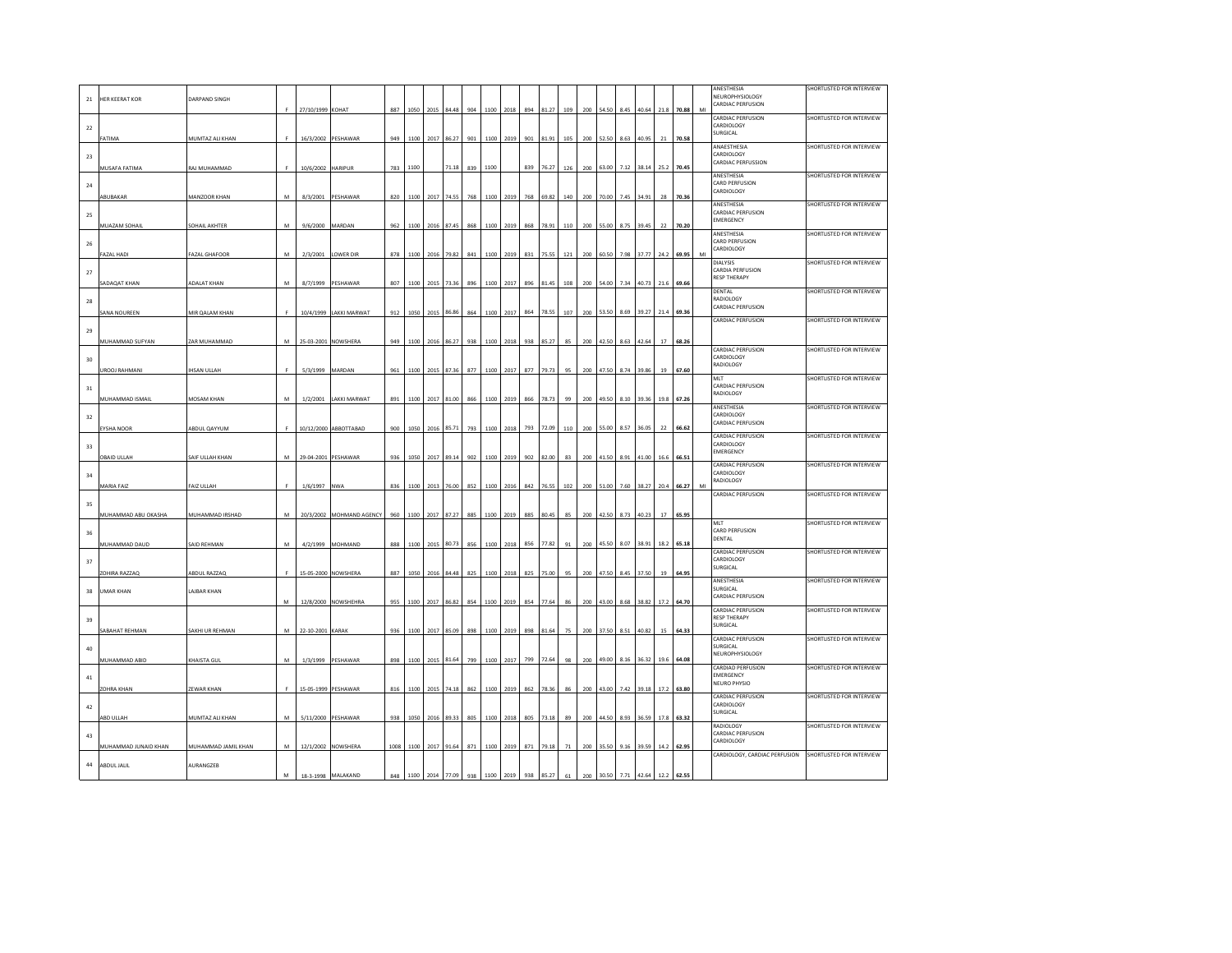| 21     | <b>HER KEERAT KOR</b> | <b>DARPAND SINGH</b> |   |                     |                          |      |                     |           |                 |     |      |           |     |                         |     |     |                                 |                  |            |      |            |    | ANESTHESIA<br>NEUROPHYSIOLOGY                   | SHORTLISTED FOR INTERVIEW |
|--------|-----------------------|----------------------|---|---------------------|--------------------------|------|---------------------|-----------|-----------------|-----|------|-----------|-----|-------------------------|-----|-----|---------------------------------|------------------|------------|------|------------|----|-------------------------------------------------|---------------------------|
|        |                       |                      | F | 27/10/1999 KOHAT    |                          | 887  | 1050                | 2015      | 84.48           | 904 | 1100 | 2018      | 894 | 81.27                   | 109 | 200 | 54.50                           | 8.45             | 40.64      | 21.8 | 70.88      | MI | CARDIAC PERFUSION                               |                           |
| 22     |                       |                      |   |                     |                          |      |                     |           |                 |     |      |           |     |                         |     |     |                                 |                  |            |      |            |    | CARDIAC PERFUSION<br>CARDIOLOGY                 | SHORTLISTED FOR INTERVIEW |
|        | FATIMA                | MUMTAZ ALI KHAN      |   | 16/3/2002 PESHAWAR  |                          | 949  | 1100                |           | 2017 86.27      | 901 |      | 1100 2019 | 901 | 81.91                   | 105 |     | 200 52.50                       | 8.63             | 40.95      | 21   | 70.58      |    | SURGICAL<br>ANAESTHESIA                         |                           |
| 23     |                       |                      |   |                     |                          |      |                     |           |                 |     |      |           |     |                         |     |     |                                 |                  |            |      |            |    | CARDIOLOGY                                      | SHORTLISTED FOR INTERVIEW |
|        | MUSAFA FATIMA         | RAJ MUHAMMAD         | F | 10/6/2002 HARIPUR   |                          | 783  | 1100                |           | 71.18           | 839 | 1100 |           | 839 | 76.27                   | 126 |     | 200 63.00                       | 7.12             | 38.14      | 25.2 | 70.45      |    | <b>CARDIAC PERFUSSION</b><br>ANESTHESIA         | SHORTLISTED FOR INTERVIEW |
| 24     |                       |                      |   |                     |                          |      |                     |           |                 |     |      |           |     |                         |     |     |                                 |                  |            |      |            |    | CARD PERFUSION<br>CARDIOLOGY                    |                           |
|        | ABUBAKAR              | MANZOOR KHAN         | M |                     | 8/3/2001 PESHAWAR        |      | 820 1100 2017 74.55 |           |                 |     |      |           |     | 768 1100 2019 768 69.82 | 140 |     | 200 70.00 7.45 34.91            |                  |            |      | 28 70.36   |    | ANESTHESIA                                      | SHORTLISTED FOR INTERVIEW |
| 25     |                       |                      |   |                     |                          |      |                     |           |                 |     |      |           |     |                         |     |     |                                 |                  |            |      |            |    | CARDIAC PERFUSION<br>EMERGENCY                  |                           |
|        | MUAZAM SOHAIL         | SOHAIL AKHTER        | М | 9/6/2000            | MARDAN                   | 962  | 1100                | 2016      | 87.45           | 868 | 1100 | 2019      | 868 | 78.91                   | 110 | 200 | 55.00                           |                  | 8.75 39.45 | 22   | 70.20      |    | ANESTHESIA                                      | SHORTLISTED FOR INTERVIEW |
| 26     |                       |                      |   |                     |                          |      |                     |           |                 |     |      |           |     |                         |     |     |                                 |                  |            |      |            |    | CARD PERFUSION<br>CARDIOLOGY                    |                           |
|        | <b>FAZAL HADI</b>     | FAZAL GHAFOOR        | M |                     | 2/3/2001 LOWER DIF       | 878  | 1100                | 2016      | 79.82           | 841 | 1100 | 2019      | 831 | 75.55                   | 121 | 200 | 60.50                           | 7.98             | 37.77      | 24.2 | 69.95      | MI | <b>DIALYSIS</b>                                 | SHORTLISTED FOR INTERVIEW |
| $27\,$ |                       | <b>ADALAT KHAN</b>   | M |                     |                          | 807  | 1100                |           | 73.36           | 896 | 1100 | 2017      | 896 | 81.45                   | 108 | 200 | 54.00                           | 7.34             | 40.73      | 21.6 | 69.66      |    | CARDIA PERFUSION<br>RESP THERAPY                |                           |
|        | SADAQAT KHAN          |                      |   |                     | 8/7/1999 PESHAWAR        |      |                     | 2015      |                 |     |      |           |     |                         |     |     |                                 |                  |            |      |            |    | DENTAL<br>RADIOLOGY                             | SHORTLISTED FOR INTERVIEW |
| 28     | SANA NOUREEN          | MIR QALAM KHAN       |   |                     | 10/4/1999 LAKKI MARWAT   | 912  |                     |           | 1050 2015 86.86 | 864 |      | 1100 2017 | 864 | 78.55                   | 107 |     | 200 53.50                       |                  | 8.69 39.27 |      | 21.4 69.36 |    | CARDIAC PERFUSION                               |                           |
| 29     |                       |                      |   |                     |                          |      |                     |           |                 |     |      |           |     |                         |     |     |                                 |                  |            |      |            |    | CARDIAC PERFLISION                              | SHORTLISTED FOR INTERVIEW |
|        | MUHAMMAD SUFYAN       | ZAR MUHAMMAD         | M |                     | 25-03-2001 NOWSHERA      | 949  | 1100                |           | 2016 86.27      | 938 |      | 1100 2018 | 938 | 85.27                   | 85  |     | 200 42.50                       | 8.63             | 42.64      | 17   | 68.26      |    |                                                 |                           |
| 30     |                       |                      |   |                     |                          |      |                     |           |                 |     |      |           |     |                         |     |     |                                 |                  |            |      |            |    | <b>CARDIAC PERFUSION</b><br>CARDIOLOGY          | SHORTLISTED FOR INTERVIEW |
|        | UROOJ RAHMANI         | <b>IHSAN ULLAH</b>   |   | 5/3/1999 MARDAN     |                          | 961  | 1100                | 2015      | 87.36           | 877 | 1100 | 2017      | 877 | 79.73                   | 95  | 200 | 47.50                           | 8.74             | 39.86      | 19   | 67.60      |    | RADIOLOGY                                       |                           |
| $31\,$ |                       |                      |   |                     |                          |      |                     |           |                 |     |      |           |     |                         |     |     |                                 |                  |            |      |            |    | MLT<br>CARDIAC PERFUSION                        | SHORTLISTED FOR INTERVIEW |
|        | MUHAMMAD ISMAIL       | <b>MOSAM KHAN</b>    | M | 1/2/2001            | <b>LAKKI MARWAT</b>      | 891  | 1100                |           | 2017 81.00      | 866 |      | 1100 2019 | 866 | 78.73                   | 99  |     | 200 49.50                       | 8.10             | 39.36      | 19.8 | 67.26      |    | RADIOLOGY                                       |                           |
| 32     |                       |                      |   |                     |                          |      |                     |           |                 |     |      |           |     |                         |     |     |                                 |                  |            |      |            |    | ANESTHESIA<br>CARDIOLOGY                        | SHORTLISTED FOR INTERVIEW |
|        | EYSHA NOOR            | ABDUL QAYYUM         | F |                     | 10/12/2000 ABBOTTABAD    |      | 900 1050 2016 85.71 |           |                 | 793 |      |           |     | 1100 2018 793 72.09     | 110 |     | 200 55.00                       |                  | 8.57 36.05 | 22   | 66.62      |    | <b>CARDIAC PERFUSION</b><br>CARDIAC PERFUSION   | SHORTLISTED FOR INTERVIEW |
| $33\,$ |                       |                      |   |                     |                          |      |                     |           |                 |     |      |           |     |                         |     |     |                                 |                  |            |      |            |    | CARDIOLOGY<br>EMERGENCY                         |                           |
|        | OBAID ULLAH           | SAIF ULLAH KHAN      | M | 29-04-2001 PESHAWAR |                          | 936  |                     |           | 1050 2017 89.14 | 902 |      | 1100 2019 | 902 | 82.00                   | 83  |     | 200 41.50 8.91 41.00 16.6       |                  |            |      | 66.51      |    | <b>CARDIAC PERFUSION</b>                        | SHORTLISTED FOR INTERVIEW |
| 34     |                       |                      |   |                     |                          |      |                     |           |                 |     |      |           |     |                         |     |     |                                 |                  |            |      |            |    | CARDIOLOGY<br>RADIOLOGY                         |                           |
|        | MARIA FAIZ            | FAIZ ULLAH           | F | 1/6/1997            | NWA                      | 836  | 1100                | 2013      | 76.00           | 852 | 1100 | 2016      | 842 | 76.55                   | 102 | 200 | 51.00                           | 7.60             | 38.27      | 20.4 | 66.27      | MI | CARDIAC PERFUSION                               | SHORTLISTED FOR INTERVIEW |
| 35     |                       |                      |   |                     |                          |      |                     |           |                 |     |      |           |     |                         |     |     |                                 |                  |            |      |            |    |                                                 |                           |
|        | MUHAMMAD ABU OKASHA   | MUHAMMAD IRSHAD      | M |                     | 20/3/2002 MOHMAND AGENCY | 960  | 1100                | 2017      | 87.27           | 885 |      | 1100 2019 | 885 | 80.45                   | 85  | 200 | 42.50                           | 8.73             | 40.23      | 17   | 65.95      |    | MIT                                             | SHORTLISTED FOR INTERVIEW |
| 36     |                       |                      |   |                     |                          |      |                     |           |                 |     |      |           |     |                         |     |     |                                 |                  |            |      |            |    | CARD PERFUSION<br>DENTAL                        |                           |
|        | MUHAMMAD DAUD         | SAID REHMAN          | М |                     | 4/2/1999 MOHMAND         | 888  |                     | 1100 2015 | 80.73           | 856 |      | 1100 2018 | 856 | 77.82                   | 91  |     | 200 45.50                       | 8.07             | 38.91      | 18.2 | 65.18      |    | CARDIAC PERFUSION<br>CARDIOLOGY                 | SHORTLISTED FOR INTERVIEW |
| 37     | ZOHIRA RAZZAQ         | ABDUL RAZZAQ         |   |                     | 15-05-2000 NOWSHERA      | 887  | 1050                |           | 2016 84.48      | 825 |      | 1100 2018 |     | 825 75.00               | 95  |     | 200 47.50                       | 8.45             | 37.50      | 19   | 64.95      |    | SURGICAL                                        |                           |
|        |                       |                      |   |                     |                          |      |                     |           |                 |     |      |           |     |                         |     |     |                                 |                  |            |      |            |    | ANESTHESIA<br>SURGICAL                          | SHORTLISTED FOR INTERVIEW |
| 38     | <b>UMAR KHAN</b>      | <b>LAJBAR KHAN</b>   | M |                     | 12/8/2000 NOWSHEHRA      | 955  |                     |           | 1100 2017 86.82 | 854 |      | 1100 2019 | 854 | 77.64                   | 86  | 200 | 43.00                           | 8.68             | 38.82      | 17.2 | 64.70      |    | CARDIAC PERFUSION                               |                           |
| 39     |                       |                      |   |                     |                          |      |                     |           |                 |     |      |           |     |                         |     |     |                                 |                  |            |      |            |    | <b>CARDIAC PERFUSION</b><br><b>RESP THERAPY</b> | SHORTLISTED FOR INTERVIEW |
|        | SABAHAT REHMAN        | SAKHI UR REHMAN      | M | 22-10-2001 KARAK    |                          | 936  | 1100                | 2017      | 85.09           | 898 | 1100 | 2019      | 898 | 81.64                   | 75  | 200 | 37.50                           | 8.51             | 40.82      | 15   | 64.33      |    | SURGICAL                                        |                           |
| $40\,$ |                       |                      |   |                     |                          |      |                     |           |                 |     |      |           |     |                         |     |     |                                 |                  |            |      |            |    | <b>CARDIAC PERFUSION</b><br>SURGICAL            | SHORTLISTED FOR INTERVIEW |
|        | MUHAMMAD ABID         | <b>KHAISTA GUL</b>   | M |                     | 1/3/1999 PESHAWAR        | 898  |                     |           | 1100 2015 81.64 | 799 |      | 1100 2017 | 799 | 72.64                   | 98  |     | 200 49.00                       | 8.16             | 36.32      | 19.6 | 64.08      |    | NEUROPHYSIOLOGY                                 |                           |
| 41     |                       |                      |   |                     |                          |      |                     |           |                 |     |      |           |     |                         |     |     |                                 |                  |            |      |            |    | <b>CARDIAD PERFUSION</b><br><b>EMERGENCY</b>    | SHORTLISTED FOR INTERVIEW |
|        | <b>ZOHRA KHAN</b>     | <b>ZEWAR KHAN</b>    | F |                     | 15-05-1999 PESHAWAR      |      | 816 1100 2015 74.18 |           |                 | 862 |      |           |     | 1100 2019 862 78.36     | 86  |     | 200 43.00 7.42 39.18 17.2 63.80 |                  |            |      |            |    | <b>NEURO PHYSIO</b><br>CARDIAC PERFLISION       | SHORTLISTED FOR INTERVIEW |
| $42\,$ |                       |                      |   |                     |                          |      |                     |           |                 |     |      |           |     |                         |     |     |                                 |                  |            |      |            |    | CARDIOLOGY<br>SURGICAL                          |                           |
|        | ABD ULLAH             | MUMTAZ ALI KHAN      | M |                     | 5/11/2000 PESHAWAR       | 938  | 1050 2016 89.33     |           |                 | 805 |      | 1100 2018 | 805 | 73.18                   | 89  |     | 200 44.50 8.93 36.59            |                  |            | 17.8 | 63.32      |    | RADIOLOGY                                       | SHORTLISTED FOR INTERVIEW |
| 43     |                       |                      |   |                     |                          |      |                     |           |                 |     |      |           |     |                         |     |     |                                 |                  |            |      |            |    | CARDIAC PERFUSION<br>CARDIOLOGY                 |                           |
|        | MUHAMMAD JUNAID KHAN  | MUHAMMAD JAMIL KHAN  | M |                     | 12/1/2002 NOWSHERA       | 1008 |                     |           | 1100 2017 91.64 | 871 |      | 1100 2019 | 871 | 79.18                   | 71  | 200 |                                 | 35.50 9.16 39.59 |            | 14.2 | 62.95      |    | CARDIOLOGY, CARDIAC PERFUSION                   | SHORTLISTED FOR INTERVIEW |
| $44\,$ | ABDUL JALIL           | AURANGZEB            |   |                     |                          |      |                     |           |                 |     |      |           |     |                         |     |     |                                 |                  |            |      |            |    |                                                 |                           |
|        |                       |                      | M |                     | 18-3-1998 MALAKAND       | 848  | 1100                | 2014      | 77.09           | 938 |      | 1100 2019 | 938 | 85.27                   | 61  | 200 | 30.50                           | 7.71             | 42.64      | 12.2 | 62.55      |    |                                                 |                           |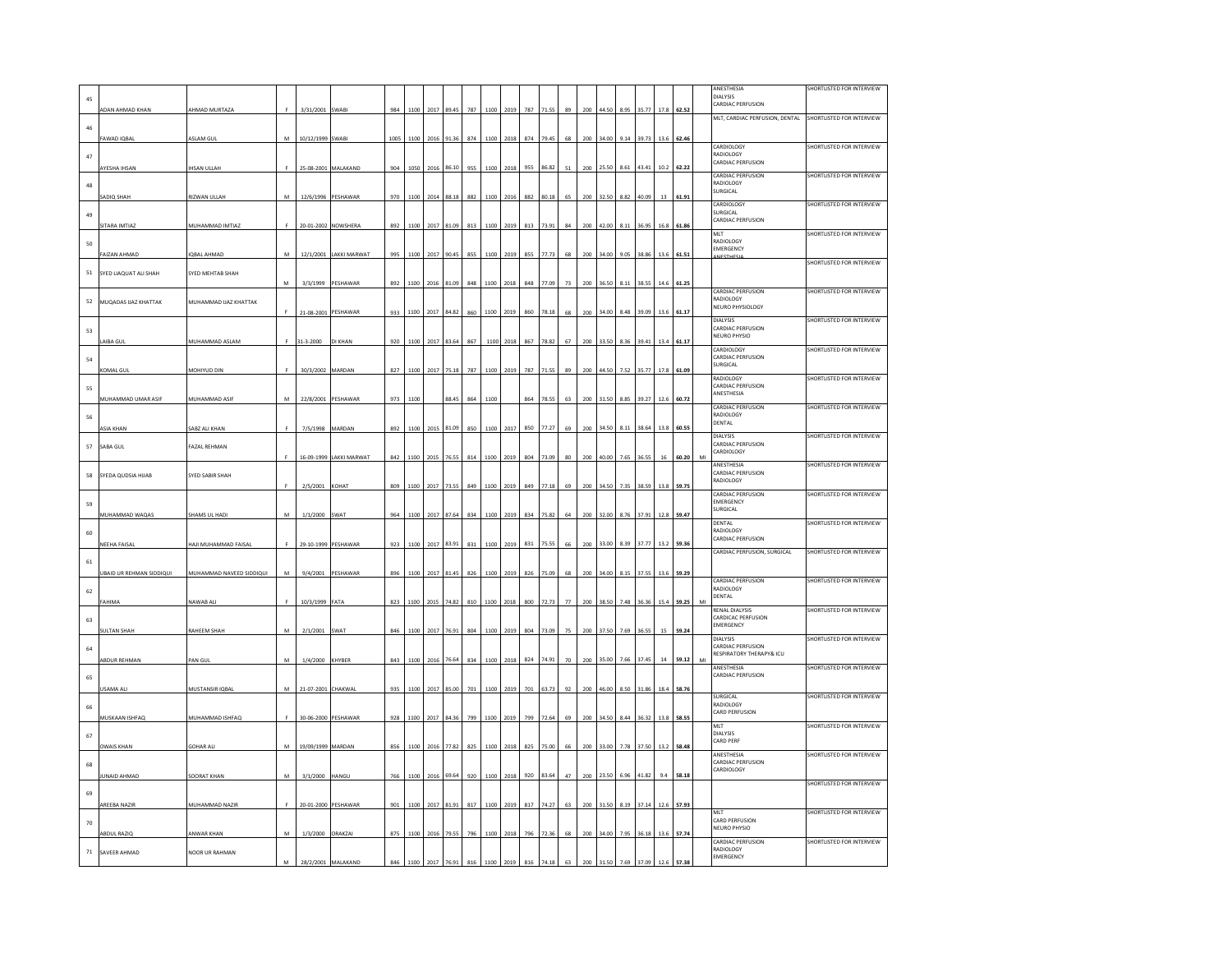|                   |                                 |                          |           |                     |                         |      |          |      |                 |     |      |           |     |           |    |     |           |      |            |      |       | ANESTHESIA                                               | SHORTLISTED FOR INTERVIEW |
|-------------------|---------------------------------|--------------------------|-----------|---------------------|-------------------------|------|----------|------|-----------------|-----|------|-----------|-----|-----------|----|-----|-----------|------|------------|------|-------|----------------------------------------------------------|---------------------------|
| 45                |                                 |                          |           |                     |                         |      |          |      |                 |     |      |           |     |           |    |     |           |      |            |      |       | <b>DIALYSIS</b>                                          |                           |
|                   | <b>NDAN AHMAD KHAN</b>          | AHMAD MURTAZA            | F.        |                     | SWABI                   | 984  | 1100     | 2017 | 89.45           | 787 | 1100 | 2019      | 787 |           | 89 | 200 | 44.50     | 8.95 |            |      | 52.52 | CARDIAC PERFUSION                                        |                           |
|                   |                                 |                          |           | 3/31/2001           |                         |      |          |      |                 |     |      |           |     |           |    |     |           |      |            |      |       | MLT, CARDIAC PERFUSION, DENTAL SHORTLISTED FOR INTERVIEW |                           |
| 46                |                                 |                          |           |                     |                         |      |          |      |                 |     |      |           |     |           |    |     |           |      |            |      |       |                                                          |                           |
|                   | FAWAD IQBAL                     | ASLAM GUI                | M         | 10/12/1999          | <b>SWABI</b>            | 1005 | 1100     | 2016 | 91.36           | 874 | 1100 | 2018      | 874 | 79.4      | 68 | 200 | 34.00     | 9.14 | 39.73      | 13.6 | 62.46 |                                                          |                           |
|                   |                                 |                          |           |                     |                         |      |          |      |                 |     |      |           |     |           |    |     |           |      |            |      |       | CARDIOLOGY                                               | SHORTLISTED FOR INTERVIEW |
| 47                |                                 |                          |           |                     |                         |      |          |      |                 |     |      |           |     |           |    |     |           |      |            |      |       | RADIOLOGY<br>CARDIAC PERFUSION                           |                           |
|                   | AYESHA IHSAN                    | <b>HSAN ULLAH</b>        |           |                     | 25-08-2001 MALAKAND     | 904  | 1050     | 2016 | 86.10           | 955 |      | 1100 2018 | 955 | 86.82     | 51 |     | 200 25.50 | 8.61 | 43.41      | 10.2 | 62.22 |                                                          |                           |
|                   |                                 |                          |           |                     |                         |      |          |      |                 |     |      |           |     |           |    |     |           |      |            |      |       | <b>CARDIAC PERFUSION</b>                                 | SHORTLISTED FOR INTERVIEW |
| 48                |                                 |                          |           |                     |                         |      |          |      |                 |     |      |           |     |           |    |     |           |      |            |      |       | RADIOLOGY<br>SURGICAL                                    |                           |
|                   | SADIQ SHAH                      | RIZWAN ULLAH             | M         | 12/6/1996           | PESHAWAR                | 970  | 1100     | 2014 | 88.18           | 882 | 1100 | 2016      | 882 | 80.18     | 65 | 200 | 32.50     | 8.82 | 40.09      | 13   | 61.91 |                                                          |                           |
|                   |                                 |                          |           |                     |                         |      |          |      |                 |     |      |           |     |           |    |     |           |      |            |      |       | CARDIOLOGY<br>SURGICAL                                   | SHORTLISTED FOR INTERVIEW |
| 49                |                                 |                          |           |                     |                         |      |          |      |                 |     |      |           |     |           |    |     |           |      |            |      |       | CARDIAC PERFUSION                                        |                           |
|                   | SITARA IMTIAZ                   | MUHAMMAD IMTIAZ          |           |                     | 20-01-2002 NOWSHERA     | 892  | 1100     | 2017 | 81.09           | 813 | 1100 | 2019      | 813 | 73.91     | 84 | 200 | 42.00     | 8.11 | 36.95      | 16.8 | 61.86 | MLT                                                      | SHORTLISTED FOR INTERVIEW |
| 50                |                                 |                          |           |                     |                         |      |          |      |                 |     |      |           |     |           |    |     |           |      |            |      |       | RADIOLOGY                                                |                           |
|                   |                                 |                          | M         | 12/1/2001           | <b>LAKKI MARWAT</b>     | 995  | 1100     | 2017 |                 | 855 | 1100 | 2019      | 855 |           | 68 | 200 |           | 9.05 | 38.8       |      |       | EMERGENCY                                                |                           |
|                   | <b>FAIZAN AHMAD</b>             | <b>QBAL AHMAD</b>        |           |                     |                         |      |          |      | 90.45           |     |      |           |     | 77.73     |    |     |           |      |            |      |       | <b>ANESTHES</b>                                          | SHORTLISTED FOR INTERVIEW |
| 51                | SYED LIAQUAT ALI SHAH           | SYED MEHTAB SHAH         |           |                     |                         |      |          |      |                 |     |      |           |     |           |    |     |           |      |            |      |       |                                                          |                           |
|                   |                                 |                          | M         |                     | 3/3/1999 PESHAWAR       | 892  |          |      | 1100 2016 81.09 | 848 |      | 1100 2018 |     | 848 77.09 | 73 |     | 200 36.50 |      | 8.11 38.55 | 14.6 | 61.25 |                                                          |                           |
|                   |                                 |                          |           |                     |                         |      |          |      |                 |     |      |           |     |           |    |     |           |      |            |      |       | CARDIAC PERFUSION                                        | SHORTLISTED FOR INTERVIEW |
| ${\sf s} {\sf z}$ | MUQADAS IJAZ KHATTAK            | MUHAMMAD IJAZ KHATTAK    |           |                     |                         |      |          |      |                 |     |      |           |     |           |    |     |           |      |            |      |       | RADIOLOGY                                                |                           |
|                   |                                 |                          |           | 21-08-2001 PESHAWAR |                         | 933  | $1100\,$ | 2017 | 84.82           | 860 | 1100 | 2019      | 860 | 78.18     | 68 | 200 | 34.00     | 8.48 | 39.09      | 13.6 | 61.17 | <b>NEURO PHYSIOLOGY</b>                                  |                           |
|                   |                                 |                          |           |                     |                         |      |          |      |                 |     |      |           |     |           |    |     |           |      |            |      |       | <b>DIALYSIS</b>                                          | SHORTLISTED FOR INTERVIEW |
| 53                |                                 |                          |           |                     |                         |      |          |      |                 |     |      |           |     |           |    |     |           |      |            |      |       | CARDIAC PERFUSION<br>NEURO PHYSIO                        |                           |
|                   | LAIBA GUI                       | MUHAMMAD ASLAM           |           | 31-3-2000           | DI KHAN                 | 920  | 1100     | 2017 | 83.64           | 867 | 1100 | 2018      | 867 | 78.82     | 67 | 200 | 33.50     | 8.36 | 39.41      | 13.4 | 61.17 |                                                          |                           |
|                   |                                 |                          |           |                     |                         |      |          |      |                 |     |      |           |     |           |    |     |           |      |            |      |       | CARDIOLOGY                                               | SHORTLISTED FOR INTERVIEW |
| ${\sf s} {\sf 4}$ |                                 |                          |           |                     |                         |      |          |      |                 |     |      |           |     |           |    |     |           |      |            |      |       | CARDIAC PERFUSION<br>SURGICAL                            |                           |
|                   | <b>KOMAL GUI</b>                | MOHIYUD DIN              | F         | 30/3/2002 MARDAN    |                         | 827  | 1100     | 2017 | 75.18           | 787 | 1100 | 2019      | 787 |           | 89 | 200 |           | 7.52 | 35.77      |      | 61.09 |                                                          |                           |
|                   |                                 |                          |           |                     |                         |      |          |      |                 |     |      |           |     |           |    |     |           |      |            |      |       | RADIOLOGY<br>CARDIAC PERFUSION                           | SHORTLISTED FOR INTERVIEW |
| 55                |                                 |                          |           |                     |                         |      |          |      |                 |     |      |           |     |           |    |     |           |      |            |      |       | ANESTHESIA                                               |                           |
|                   | MUHAMMAD UMAR ASIF              | MUHAMMAD ASIF            | M         | 22/8/2001 PESHAWAR  |                         | 973  | 1100     |      | 88.45           | 864 | 1100 |           | 864 | 78.55     | 63 |     | 200 31.50 | 8.85 | 39.27      | 12.6 | 60.72 | <b>CARDIAC PERFUSION</b>                                 | SHORTLISTED FOR INTERVIEW |
| 56                |                                 |                          |           |                     |                         |      |          |      |                 |     |      |           |     |           |    |     |           |      |            |      |       | RADIOLOGY                                                |                           |
|                   | <b>ASIA KHAN</b>                | SABZ ALI KHAN            | F         | 7/5/1998            | MARDAN                  | 892  | 1100     |      | 81.09           | 850 | 1100 | 2017      | 850 | 77.27     | 69 | 200 | 34.5      |      | 38.64      |      | 60.55 | DENTAL                                                   |                           |
|                   |                                 |                          |           |                     |                         |      |          |      |                 |     |      |           |     |           |    |     |           |      |            |      |       | DIALYSIS                                                 | SHORTLISTED FOR INTERVIEW |
| 57                | SABA GUL                        | <b>FAZAL REHMAN</b>      |           |                     |                         |      |          |      |                 |     |      |           |     |           |    |     |           |      |            |      |       | CARDIAC PERFUSION                                        |                           |
|                   |                                 |                          |           |                     | 16-09-1999 LAKKI MARWAT | 842  | 1100     | 2015 | 76.55           | 814 |      | 1100 2019 | 804 | 73.09     | 80 | 200 | 40.00     | 7.65 | 36.55      | 16   | 60.20 | CARDIOLOGY<br>MI                                         |                           |
|                   |                                 |                          |           |                     |                         |      |          |      |                 |     |      |           |     |           |    |     |           |      |            |      |       | ANESTHESIA                                               | SHORTLISTED FOR INTERVIEW |
| 58                | SYEDA QUDSIA HIJAB              | SYED SABIR SHAH          |           |                     |                         |      |          |      |                 |     |      |           |     |           |    |     |           |      |            |      |       | CARDIAC PERFUSION<br>RADIOLOGY                           |                           |
|                   |                                 |                          |           | 2/5/2001            | KOHAT                   | 809  | 1100     | 2017 | 73.55           | 849 | 1100 | 2019      | 849 | 77.18     | 69 | 200 | 34.50     | 7.35 | 38.59      | 13.8 | 59.75 |                                                          |                           |
|                   |                                 |                          |           |                     |                         |      |          |      |                 |     |      |           |     |           |    |     |           |      |            |      |       | <b>CARDIAC PERFUSION</b>                                 | SHORTLISTED FOR INTERVIEW |
| 59                |                                 |                          |           |                     |                         |      |          |      |                 |     |      |           |     |           |    |     |           |      |            |      |       | EMERGENCY<br>SURGICAL                                    |                           |
|                   | MUHAMMAD WAQAS                  | SHAMS UL HADI            | M         | 1/1/2000            | SWAT                    | 964  | 1100     | 2017 | 87.64           | 834 | 1100 | 2019      | 834 | 75.82     | 64 | 200 | 32.00     | 8.76 | 37.91      | 12.8 | 59.47 |                                                          |                           |
|                   |                                 |                          |           |                     |                         |      |          |      |                 |     |      |           |     |           |    |     |           |      |            |      |       | DENTAL<br>RADIOLOGY                                      | SHORTLISTED FOR INTERVIEW |
| 60                |                                 |                          |           |                     |                         |      |          |      |                 |     |      |           |     |           |    |     |           |      |            |      |       | CARDIAC PERFUSION                                        |                           |
|                   | <b>NEEHA FAISAL</b>             | HAJI MUHAMMAD FAISAL     | F.        |                     | 29-10-1999 PESHAWAR     | 923  | 1100     | 2017 | 83.91           | 831 | 1100 | 2019      | 831 | 75.55     | 66 | 200 | 33.00     | 8.39 | 37.77      | 13.2 | 59.36 | CARDIAC PERFUSION, SURGICAL                              | SHORTLISTED FOR INTERVIEW |
| 61                |                                 |                          |           |                     |                         |      |          |      |                 |     |      |           |     |           |    |     |           |      |            |      |       |                                                          |                           |
|                   | <b>JBAID UR REHMAN SIDDIQUI</b> | MUHAMMAD NAVEED SIDDIQUI | M         |                     | PESHAWAR                | 896  | 1100     |      | 81.45           | 826 | 1100 |           | 826 | 75.09     | 68 |     | 34.00     | 8.15 | 37.55      |      |       |                                                          |                           |
|                   |                                 |                          |           | 9/4/2001            |                         |      |          | 2017 |                 |     |      | 2019      |     |           |    | 200 |           |      |            | 13.6 | 59.29 | CARDIAC PERFUSION                                        | SHORTLISTED FOR INTERVIEW |
| 62                |                                 |                          |           |                     |                         |      |          |      |                 |     |      |           |     |           |    |     |           |      |            |      |       | RADIOLOGY                                                |                           |
|                   | FAHIMA                          | NAWAB ALI                | F.        | 10/3/1999           | FATA                    | 823  | 1100     | 2015 | 74.82           | 810 | 1100 | 2018      | 800 | 72.73     | 77 | 200 | 38.50     | 7.48 | 36.36      | 15.4 | 59.25 | DENTAL<br>MI                                             |                           |
|                   |                                 |                          |           |                     |                         |      |          |      |                 |     |      |           |     |           |    |     |           |      |            |      |       | <b>RENAL DIALYSIS</b>                                    | SHORTLISTED FOR INTERVIEW |
| 63                |                                 |                          |           |                     |                         |      |          |      |                 |     |      |           |     |           |    |     |           |      |            |      |       | CARDICAC PERFUSION                                       |                           |
|                   | <b>SULTAN SHAH</b>              | RAHEEM SHAH              | M         | 2/1/2001            | SWAT                    | 846  | 1100     | 2017 | 76.91           | 804 | 1100 | 2019      | 804 | 73.09     | 75 | 200 | 37.50     | 7.69 | 36.55      | 15   | 59.24 | EMERGENCY                                                |                           |
|                   |                                 |                          |           |                     |                         |      |          |      |                 |     |      |           |     |           |    |     |           |      |            |      |       | DIALYSIS                                                 | SHORTLISTED FOR INTERVIEW |
| 64                |                                 |                          |           |                     |                         |      |          |      |                 |     |      |           |     |           |    |     |           |      |            |      |       | CARDIAC PERFLISION<br>RESPIRATORY THERAPY& ICU           |                           |
|                   | ABDUR REHMAN                    | PAN GUL                  | M         | 1/4/2000            | KHYBER                  | 843  | 1100     | 2016 | 76.64           | 834 | 1100 | 2018      | 824 | 74.91     | 70 | 200 | 35.00     | 7.66 | 37.45      | 14   | 59.12 | MI                                                       |                           |
|                   |                                 |                          |           |                     |                         |      |          |      |                 |     |      |           |     |           |    |     |           |      |            |      |       | ANESTHESIA<br>CARDIAC PERFUSION                          | SHORTLISTED FOR INTERVIEW |
| 65                |                                 |                          |           |                     |                         |      |          |      |                 |     |      |           |     |           |    |     |           |      |            |      |       |                                                          |                           |
|                   | <b>JSAMA AL</b>                 | MUSTANSIR IQBA           | ${\sf M}$ | 21-07-2001          | CHAKWA                  | 935  | 1100     | 2017 | 85.00           | 701 | 1100 | 2019      | 701 | 63.73     | 92 | 200 | 46.00     | 8.50 | 31.86      | 18.4 | 58.76 | SURGICAL                                                 |                           |
| 66                |                                 |                          |           |                     |                         |      |          |      |                 |     |      |           |     |           |    |     |           |      |            |      |       | <b>RADIOLOGY</b>                                         | SHORTLISTED FOR INTERVIEW |
|                   |                                 |                          | F.        |                     |                         |      |          |      |                 |     |      |           |     |           |    |     |           |      |            |      |       | CARD PERFUSION                                           |                           |
|                   | MUSKAAN ISHFAQ                  | MUHAMMAD ISHFAQ          |           | 30-06-2000 PESHAWAR |                         | 928  | 1100     | 2017 | 84.36           | 799 | 1100 | 2019      | 799 | 72.64     | 69 | 200 | 34.50     | 8.44 | 36.32      | 13.8 | 58.55 | MLT                                                      | SHORTLISTED FOR INTERVIEW |
| 67                |                                 |                          |           |                     |                         |      |          |      |                 |     |      |           |     |           |    |     |           |      |            |      |       | <b>DIALYSIS</b>                                          |                           |
|                   | <b>OWAIS KHAN</b>               | <b>GOHAR AL</b>          | M         | 19/09/1999          | MARDAN                  | 856  | 1100     | 2016 | 77.82           | 825 | 1100 | 2018      | 825 | 75.00     | 66 | 200 | 33.00     | 7.78 | 37.50      | 13.2 | 58.48 | CARD PERF                                                |                           |
|                   |                                 |                          |           |                     |                         |      |          |      |                 |     |      |           |     |           |    |     |           |      |            |      |       | ANESTHESIA                                               | SHORTLISTED FOR INTERVIEW |
| 68                |                                 |                          |           |                     |                         |      |          |      |                 |     |      |           |     |           |    |     |           |      |            |      |       | CARDIAC PERFUSION                                        |                           |
|                   | <b>UNAID AHMAD</b>              | SOORAT KHAN              | M         | 3/1/2000            | HANGU                   | 766  | 1100     | 2016 | 69.64           | 920 | 1100 | 2018      | 920 | 83.64     | 47 | 200 | 23.50     | 6.96 | 41.82      | 94   | 58.18 | <b>CARDIOLOGY</b>                                        |                           |
|                   |                                 |                          |           |                     |                         |      |          |      |                 |     |      |           |     |           |    |     |           |      |            |      |       |                                                          | SHORTLISTED FOR INTERVIEW |
| 69                |                                 |                          |           |                     |                         |      |          |      |                 |     |      |           |     |           |    |     |           |      |            |      |       |                                                          |                           |
|                   | <b>AREEBA NAZIF</b>             | MUHAMMAD NAZI            |           | 20-01-2000          | PESHAWAI                | 901  | 1100     | 2017 |                 | 817 | 1100 | 2019      | 817 |           | 63 | 200 |           |      |            |      |       |                                                          |                           |
|                   |                                 |                          |           |                     |                         |      |          |      |                 |     |      |           |     |           |    |     |           |      |            |      |       | MIT.<br>CARD PERFUSION                                   | SHORTLISTED FOR INTERVIEW |
| 70                |                                 |                          |           |                     |                         |      |          |      |                 |     |      |           |     |           |    |     |           |      |            |      |       | NEURO PHYSIO                                             |                           |
|                   | ABDUL RAZIQ                     | ANWAR KHAN               | M         | 1/3/2000 ORAKZAI    |                         | 875  | 1100     | 2016 | 79.55           | 796 | 1100 | 2018      | 796 | 72.36     | 68 | 200 | 34.00     | 7.95 | 36.18      | 13.6 | 57.74 | <b>CARDIAC PERFUSION</b>                                 | SHORTLISTED FOR INTERVIEW |
| $71\,$            | SAVEER AHMAD                    | NOOR UR RAHMAN           |           |                     |                         |      |          |      |                 |     |      |           |     |           |    |     |           |      |            |      |       | RADIOLOGY                                                |                           |
|                   |                                 |                          | M         |                     |                         |      |          |      |                 |     |      |           |     |           |    |     |           |      |            |      |       | EMERGENCY                                                |                           |
|                   |                                 |                          |           |                     | 28/2/2001 MALAKAND      |      |          |      |                 |     |      |           |     |           |    |     |           |      |            |      |       |                                                          |                           |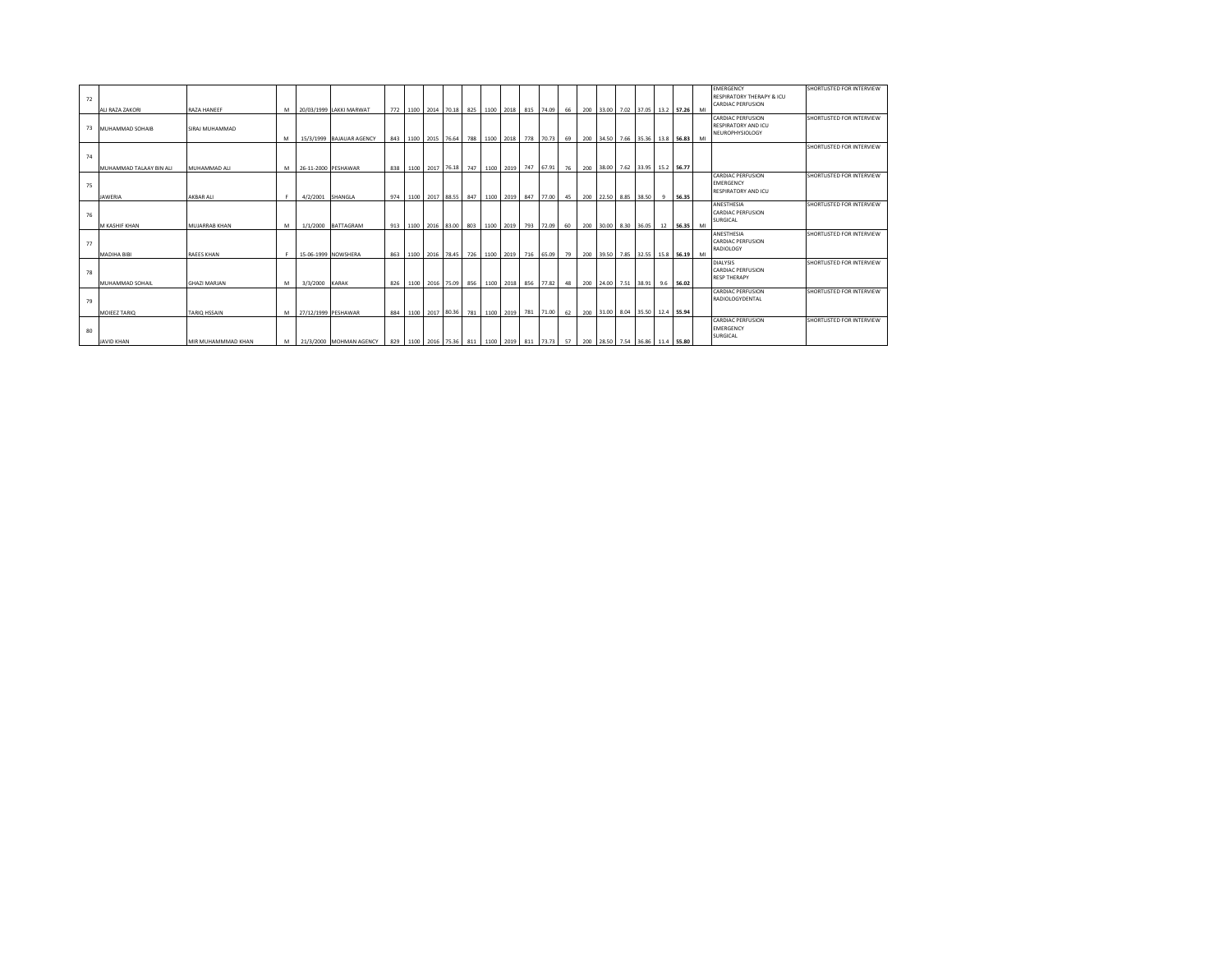| 72 |                        |                      |   |                |                          |     |                                   |                 |     |      |           |                                                                                                              |    |     |  |                                 |           |    | <b>EMERGENCY</b><br><b>RESPIRATORY THERAPY &amp; ICU</b><br><b>CARDIAC PERFUSION</b> | SHORTLISTED FOR INTERVIEW |
|----|------------------------|----------------------|---|----------------|--------------------------|-----|-----------------------------------|-----------------|-----|------|-----------|--------------------------------------------------------------------------------------------------------------|----|-----|--|---------------------------------|-----------|----|--------------------------------------------------------------------------------------|---------------------------|
|    | ALI RAZA ZAKORI        | <b>RAZA HANFFF</b>   | M |                | 20/03/1999 LAKKI MARWAT  |     |                                   |                 |     |      |           | 772 1100 2014 70.18 825 1100 2018 815 74.09                                                                  | 66 | 200 |  | 33.00 7.02 37.05 13.2 57.26     |           | MI |                                                                                      |                           |
|    |                        |                      |   |                |                          |     |                                   |                 |     |      |           |                                                                                                              |    |     |  |                                 |           |    | <b>CARDIAC PERFUSION</b>                                                             | SHORTLISTED FOR INTERVIEW |
|    | 73 MUHAMMAD SOHAIB     | SIRAJ MUHAMMAD       |   |                |                          |     |                                   |                 |     |      |           |                                                                                                              |    |     |  |                                 |           |    | <b>RESPIRATORY AND ICU</b>                                                           |                           |
|    |                        |                      |   |                |                          |     |                                   |                 |     |      |           |                                                                                                              |    |     |  |                                 |           |    | <b>NEUROPHYSIOLOGY</b>                                                               |                           |
|    |                        |                      | M |                | 15/3/1999 BAJAUAR AGENCY |     | 843 1100 2015 76.64 788 1100 2018 |                 |     |      |           | 778 70.73                                                                                                    | 69 |     |  | 200 34.50 7.66 35.36 13.8 56.83 |           | MI |                                                                                      | SHORTLISTED FOR INTERVIEW |
|    |                        |                      |   |                |                          |     |                                   |                 |     |      |           |                                                                                                              |    |     |  |                                 |           |    |                                                                                      |                           |
| 74 |                        |                      |   |                |                          |     |                                   |                 |     |      |           |                                                                                                              |    |     |  |                                 |           |    |                                                                                      |                           |
|    | MUHAMMAD TALAAY BIN AL | MUHAMMAD ALI         | M |                | 26-11-2000 PESHAWAR      |     | 838 1100 2017 76.18 747           |                 |     |      | 1100 2019 | 747 67.91                                                                                                    | 76 |     |  | 200 38.00 7.62 33.95 15.2 56.77 |           |    |                                                                                      |                           |
|    |                        |                      |   |                |                          |     |                                   |                 |     |      |           |                                                                                                              |    |     |  |                                 |           |    | <b>CARDIAC PERFUSION</b>                                                             | SHORTLISTED FOR INTERVIEW |
| 75 |                        |                      |   |                |                          |     |                                   |                 |     |      |           |                                                                                                              |    |     |  |                                 |           |    | <b>EMERGENCY</b>                                                                     |                           |
|    |                        |                      |   |                |                          |     |                                   |                 |     |      |           |                                                                                                              |    |     |  |                                 |           |    | <b>RESPIRATORY AND ICU</b>                                                           |                           |
|    | <b>JAWERIA</b>         | AKBAR ALI            | F |                | 4/2/2001 SHANGLA         |     |                                   |                 |     |      |           | 974   1100   2017   88.55   847   1100   2019   847   77.00   45                                             |    |     |  | 200 22.50 8.85 38.50 9 56.35    |           |    |                                                                                      |                           |
|    |                        |                      |   |                |                          |     |                                   |                 |     |      |           |                                                                                                              |    |     |  |                                 |           |    | ANESTHESIA                                                                           | SHORTLISTED FOR INTERVIEW |
| 76 |                        |                      |   |                |                          |     |                                   |                 |     |      |           |                                                                                                              |    |     |  |                                 |           |    | <b>CARDIAC PERFUSION</b>                                                             |                           |
|    |                        |                      |   |                |                          |     |                                   |                 |     |      |           |                                                                                                              |    |     |  |                                 |           |    | SURGICAL                                                                             |                           |
|    | M KASHIF KHAN          | <b>MUJARRAB KHAN</b> | M |                | 1/1/2000 BATTAGRAM       |     |                                   |                 |     |      |           | 913 1100 2016 83.00 803 1100 2019 793 72.09                                                                  | 60 |     |  | 200 30.00 8.30 36.05 12 56.35   |           | MI |                                                                                      | SHORTLISTED FOR INTERVIEW |
|    |                        |                      |   |                |                          |     |                                   |                 |     |      |           |                                                                                                              |    |     |  |                                 |           |    | ANESTHESIA<br><b>CARDIAC PERFUSION</b>                                               |                           |
| 77 |                        |                      |   |                |                          |     |                                   |                 |     |      |           |                                                                                                              |    |     |  |                                 |           |    | RADIOLOGY                                                                            |                           |
|    | <b>MADIHA BIBI</b>     | <b>RAEES KHAN</b>    |   |                | 15-06-1999 NOWSHERA      |     |                                   |                 |     |      |           | 863 1100 2016 78.45 726 1100 2019 716 65.09                                                                  | 79 |     |  | 200 39.50 7.85 32.55 15.8 56.19 |           | MI |                                                                                      |                           |
|    |                        |                      |   |                |                          |     |                                   |                 |     |      |           |                                                                                                              |    |     |  |                                 |           |    | <b>DIALYSIS</b>                                                                      | SHORTLISTED FOR INTERVIEW |
| 78 |                        |                      |   |                |                          |     |                                   |                 |     |      |           |                                                                                                              |    |     |  |                                 |           |    | <b>CARDIAC PERFUSION</b>                                                             |                           |
|    |                        |                      |   |                |                          |     |                                   |                 |     |      |           |                                                                                                              |    |     |  |                                 |           |    | <b>RESP THERAPY</b>                                                                  |                           |
|    | MUHAMMAD SOHAIL        | <b>GHAZI MARJAN</b>  | M | 3/3/2000 KARAK |                          | 826 |                                   | 1100 2016 75.09 | 856 | 1100 | 2018      | 856 77.82                                                                                                    | 48 | 200 |  | 24.00 7.51 38.91                | 9.6 56.02 |    |                                                                                      |                           |
|    |                        |                      |   |                |                          |     |                                   |                 |     |      |           |                                                                                                              |    |     |  |                                 |           |    | <b>CARDIAC PERFUSION</b>                                                             | SHORTLISTED FOR INTERVIEW |
| 79 |                        |                      |   |                |                          |     |                                   |                 |     |      |           |                                                                                                              |    |     |  |                                 |           |    | RADIOLOGYDENTAL                                                                      |                           |
|    |                        |                      |   |                |                          |     |                                   |                 |     |      |           |                                                                                                              |    |     |  |                                 |           |    |                                                                                      |                           |
|    | MOIEEZ TARIO           | <b>TARIO HSSAIN</b>  | M |                | 27/12/1999 PESHAWAR      | 884 |                                   |                 |     |      |           | 1100 2017 80.36 781 1100 2019 781 71.00                                                                      | 62 |     |  | 200 31.00 8.04 35.50 12.4 55.94 |           |    |                                                                                      |                           |
|    |                        |                      |   |                |                          |     |                                   |                 |     |      |           |                                                                                                              |    |     |  |                                 |           |    | <b>CARDIAC PERFUSION</b>                                                             | SHORTLISTED FOR INTERVIEW |
| 80 |                        |                      |   |                |                          |     |                                   |                 |     |      |           |                                                                                                              |    |     |  |                                 |           |    | <b>EMERGENCY</b>                                                                     |                           |
|    | <b>JAVID KHAN</b>      | MIR MUHAMMMAD KHAN   | M |                | 21/3/2000 MOHMAN AGENCY  |     |                                   |                 |     |      |           | 829   1100   2016   75.36   811   1100   2019   811   73.73   57   200   28.50   7.54   36.86   11.4   55.80 |    |     |  |                                 |           |    | SURGICAL                                                                             |                           |
|    |                        |                      |   |                |                          |     |                                   |                 |     |      |           |                                                                                                              |    |     |  |                                 |           |    |                                                                                      |                           |